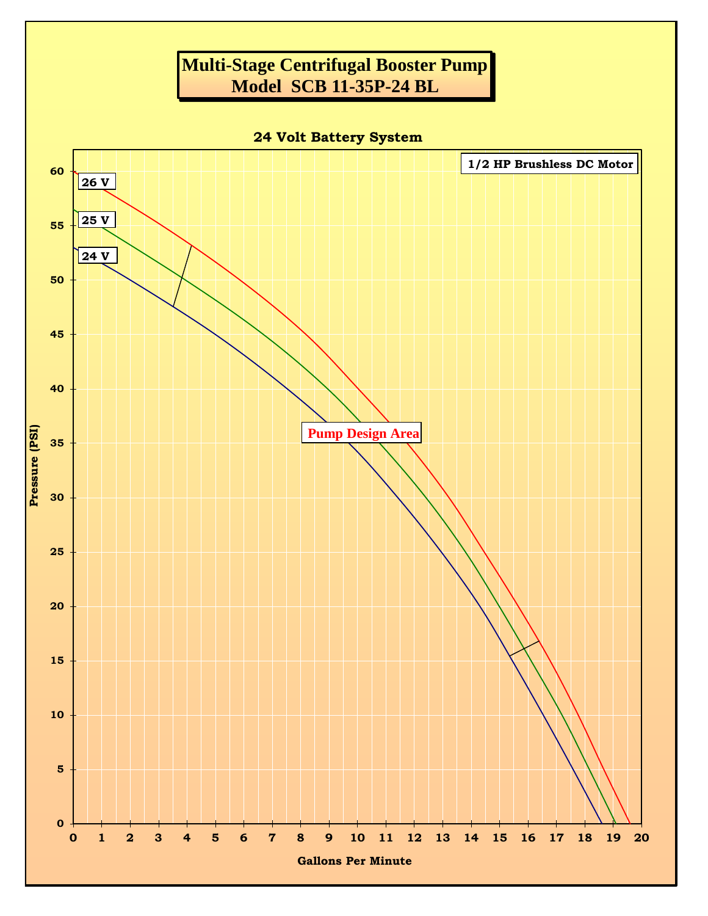## **Multi-Stage Centrifugal Booster Pump Model SCB 11-35P-24 BL**

**24 Volt Battery System**